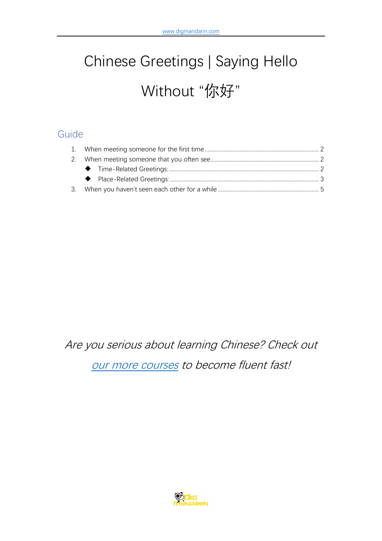# Chinese Greetings | Saying Hello Without "你好"

## Guide

Are you serious about learning Chinese? Check out [our more courses](https://www.digmandarin.com/chinese-language-courses?bbc_pdf) to become fluent fast!

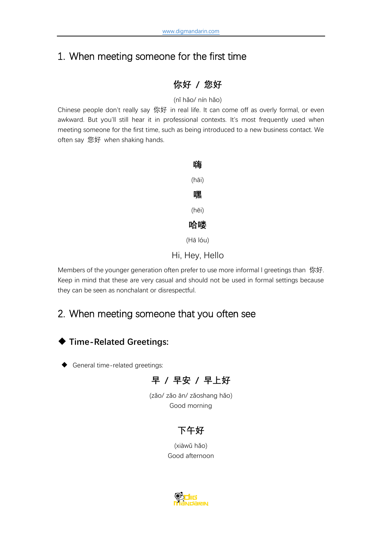# <span id="page-1-0"></span>1. When meeting someone for the first time

## **你好 / 您好**

(nǐ hǎo/ nín hǎo)

Chinese people don't really say 你好 in real life. It can come off as overly formal, or even awkward. But you'll still hear it in professional contexts. It's most frequently used when meeting someone for the first time, such as being introduced to a new business contact. We often say 您好 when shaking hands.



Hi, Hey, Hello

Members of the younger generation often prefer to use more informal I greetings than 你好. Keep in mind that these are very casual and should not be used in formal settings because they can be seen as nonchalant or disrespectful.

# <span id="page-1-1"></span>2. When meeting someone that you often see

## <span id="page-1-2"></span>◆ **Time-Related Greetings:**

General time-related greetings:



(zǎo/ zǎo ān/ zǎoshang hǎo) Good morning

## **下午好**

(xiàwǔ hǎo) Good afternoon

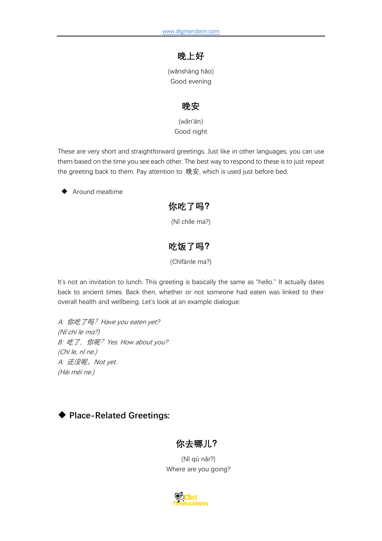## **晚上好**

(wǎnshàng hǎo) Good evening

#### **晚安**

(wǎn'ān) Good night

These are very short and straightforward greetings. Just like in other languages, you can use them based on the time you see each other. The best way to respond to these is to just repeat the greeting back to them. Pay attention to 晚安, which is used just before bed.

Around mealtime

#### **你吃了吗?**

(Nǐ chīle ma?)

## **吃饭了吗?**

(Chīfànle ma?)

It's not an invitation to lunch. This greeting is basically the same as "hello." It actually dates back to ancient times. Back then, whether or not someone had eaten was linked to their overall health and wellbeing. Let's look at an example dialogue:

A: 你吃了吗? Have you eaten yet? (Nǐ chī le mɑ?) B: 吃了, 你呢? Yes. How about you? (Chī le, nǐ ne.) A: 还没呢。Not yet. (Hái méi ne.)

## <span id="page-2-0"></span>◆ **Place-Related Greetings:**

#### **你去哪儿?**

(Nǐ qù nǎr?) Where are you going?

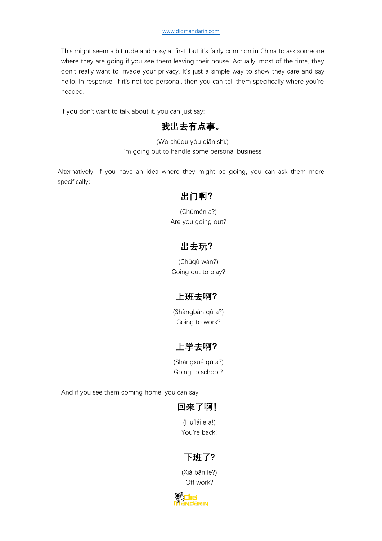This might seem a bit rude and nosy at first, but it's fairly common in China to ask someone where they are going if you see them leaving their house. Actually, most of the time, they don't really want to invade your privacy. It's just a simple way to show they care and say hello. In response, if it's not too personal, then you can tell them specifically where you're headed.

If you don't want to talk about it, you can just say:

## **我出去有点事。**

(Wǒ chūqu yóu diǎn shì.) I'm going out to handle some personal business.

Alternatively, if you have an idea where they might be going, you can ask them more specifically:

#### **出门啊?**

(Chūmén a?) Are you going out?

## **出去玩?**

(Chūqù wán?) Going out to play?

## **上班去啊?**

(Shàngbān qù a?) Going to work?

## **上学去啊?**

(Shàngxué qù a?) Going to school?

And if you see them coming home, you can say:

## **回来了啊!**

(Huíláile a!) You're back!

## **下班了?**

(Xià bān le?) Off work?

'nπ **RIN**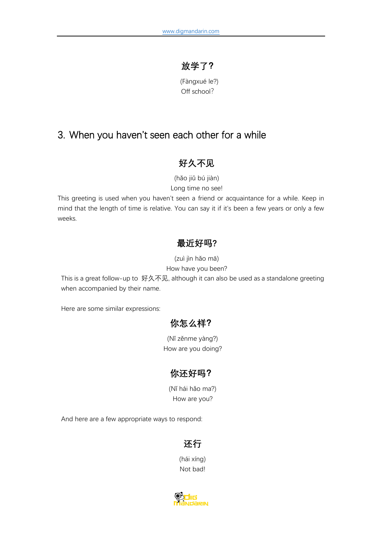## **放学了?**

(Fàngxué le?) Off school?

## <span id="page-4-0"></span>3. When you haven't seen each other for a while

## **好久不见**

(hǎo jiǔ bú jiàn)

Long time no see!

This greeting is used when you haven't seen a friend or acquaintance for a while. Keep in mind that the length of time is relative. You can say it if it's been a few years or only a few weeks.

#### **最近好吗?**

(zuì jìn hǎo mā)

How have you been?

This is a great follow-up to 好久不见, although it can also be used as a standalone greeting when accompanied by their name.

Here are some similar expressions:

## **你怎么样?**

(Nǐ zěnme yàng?) How are you doing?

## **你还好吗?**

(Nǐ hái hǎo ma?) How are you?

And here are a few appropriate ways to respond:

## **还行**

(hái xíng) Not bad!